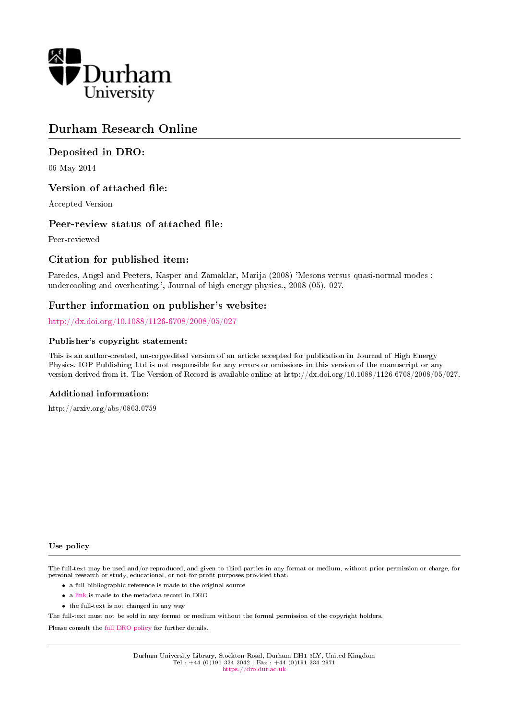

## Durham Research Online

## Deposited in DRO:

06 May 2014

## Version of attached file:

Accepted Version

## Peer-review status of attached file:

Peer-reviewed

## Citation for published item:

Paredes, Angel and Peeters, Kasper and Zamaklar, Marija (2008) 'Mesons versus quasi-normal modes : undercooling and overheating.', Journal of high energy physics., 2008 (05). 027.

## Further information on publisher's website:

<http://dx.doi.org/10.1088/1126-6708/2008/05/027>

#### Publisher's copyright statement:

This is an author-created, un-copyedited version of an article accepted for publication in Journal of High Energy Physics. IOP Publishing Ltd is not responsible for any errors or omissions in this version of the manuscript or any version derived from it. The Version of Record is available online at http://dx.doi.org/10.1088/1126-6708/2008/05/027.

#### Additional information:

http://arxiv.org/abs/0803.0759

#### Use policy

The full-text may be used and/or reproduced, and given to third parties in any format or medium, without prior permission or charge, for personal research or study, educational, or not-for-profit purposes provided that:

- a full bibliographic reference is made to the original source
- a [link](http://dro.dur.ac.uk/12332/) is made to the metadata record in DRO
- the full-text is not changed in any way

The full-text must not be sold in any format or medium without the formal permission of the copyright holders.

Please consult the [full DRO policy](https://dro.dur.ac.uk/policies/usepolicy.pdf) for further details.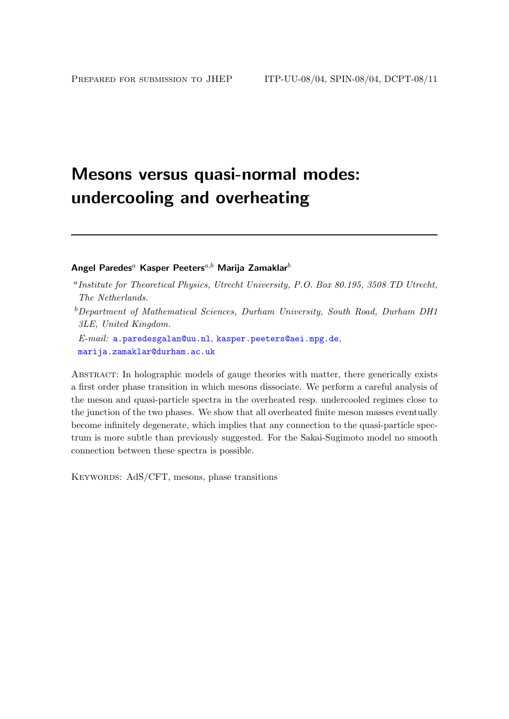# Mesons versus quasi-normal modes: undercooling and overheating

## Angel Paredes<sup>a</sup> Kasper Peeters<sup>a,b</sup> Marija Zamaklar<sup>b</sup>

- <sup>a</sup>Institute for Theoretical Physics, Utrecht University, P.O. Box 80.195, 3508 TD Utrecht, The Netherlands.
- $b$ Department of Mathematical Sciences, Durham University, South Road, Durham DH1 3LE, United Kingdom.

E-mail: [a.paredesgalan@uu.nl](mailto:a.paredesgalan@uu.nl), [kasper.peeters@aei.mpg.de](mailto:kasper.peeters@aei.mpg.de), [marija.zamaklar@durham.ac.uk](mailto:marija.zamaklar@durham.ac.uk)

Abstract: In holographic models of gauge theories with matter, there generically exists a first order phase transition in which mesons dissociate. We perform a careful analysis of the meson and quasi-particle spectra in the overheated resp. undercooled regimes close to the junction of the two phases. We show that all overheated finite meson masses eventually become infinitely degenerate, which implies that any connection to the quasi-particle spectrum is more subtle than previously suggested. For the Sakai-Sugimoto model no smooth connection between these spectra is possible.

KEYWORDS: AdS/CFT, mesons, phase transitions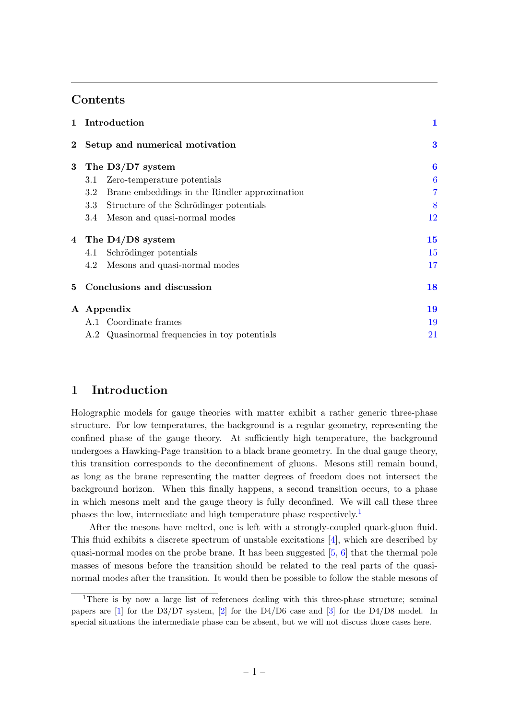## Contents

|          | 1 Introduction                                       | 1              |
|----------|------------------------------------------------------|----------------|
| $\bf{2}$ | Setup and numerical motivation                       | $\bf{3}$       |
| 3        | The $D3/D7$ system                                   | 6              |
|          | Zero-temperature potentials<br>3.1                   | 6              |
|          | Brane embeddings in the Rindler approximation<br>3.2 | $\overline{7}$ |
|          | 3.3 Structure of the Schrödinger potentials          | 8              |
|          | 3.4 Meson and quasi-normal modes                     | 12             |
|          | 4 The D4/D8 system                                   | 15             |
|          | Schrödinger potentials<br>4.1                        | 15             |
|          | 4.2 Mesons and quasi-normal modes                    | 17             |
| 5        | Conclusions and discussion                           | 18             |
|          | A Appendix                                           | 19             |
|          | A.1 Coordinate frames                                | 19             |
|          | A.2 Quasinormal frequencies in toy potentials        | 21             |
|          |                                                      |                |

## <span id="page-2-0"></span>1 Introduction

Holographic models for gauge theories with matter exhibit a rather generic three-phase structure. For low temperatures, the background is a regular geometry, representing the confined phase of the gauge theory. At sufficiently high temperature, the background undergoes a Hawking-Page transition to a black brane geometry. In the dual gauge theory, this transition corresponds to the deconfinement of gluons. Mesons still remain bound, as long as the brane representing the matter degrees of freedom does not intersect the background horizon. When this finally happens, a second transition occurs, to a phase in which mesons melt and the gauge theory is fully deconfined. We will call these three phases the low, intermediate and high temperature phase respectively.[1](#page-2-1)

After the mesons have melted, one is left with a strongly-coupled quark-gluon fluid. This fluid exhibits a discrete spectrum of unstable excitations [\[4\]](#page-23-0), which are described by quasi-normal modes on the probe brane. It has been suggested [\[5,](#page-23-1) [6\]](#page-23-2) that the thermal pole masses of mesons before the transition should be related to the real parts of the quasinormal modes after the transition. It would then be possible to follow the stable mesons of

<span id="page-2-1"></span><sup>&</sup>lt;sup>1</sup>There is by now a large list of references dealing with this three-phase structure; seminal papers are [\[1\]](#page-23-3) for the D3/D7 system, [\[2\]](#page-23-4) for the D4/D6 case and [\[3\]](#page-23-5) for the D4/D8 model. In special situations the intermediate phase can be absent, but we will not discuss those cases here.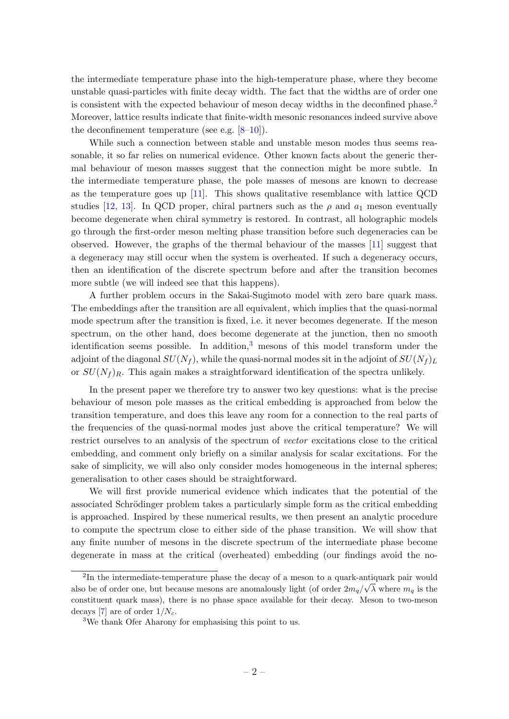the intermediate temperature phase into the high-temperature phase, where they become unstable quasi-particles with finite decay width. The fact that the widths are of order one is consistent with the expected behaviour of meson decay widths in the deconfined phase.<sup>[2](#page-3-0)</sup> Moreover, lattice results indicate that finite-width mesonic resonances indeed survive above the deconfinement temperature (see e.g.  $[8-10]$ ).

While such a connection between stable and unstable meson modes thus seems reasonable, it so far relies on numerical evidence. Other known facts about the generic thermal behaviour of meson masses suggest that the connection might be more subtle. In the intermediate temperature phase, the pole masses of mesons are known to decrease as the temperature goes up [\[11\]](#page-23-8). This shows qualitative resemblance with lattice QCD studies [\[12,](#page-23-9) [13\]](#page-23-10). In QCD proper, chiral partners such as the  $\rho$  and  $a_1$  meson eventually become degenerate when chiral symmetry is restored. In contrast, all holographic models go through the first-order meson melting phase transition before such degeneracies can be observed. However, the graphs of the thermal behaviour of the masses [\[11\]](#page-23-8) suggest that a degeneracy may still occur when the system is overheated. If such a degeneracy occurs, then an identification of the discrete spectrum before and after the transition becomes more subtle (we will indeed see that this happens).

A further problem occurs in the Sakai-Sugimoto model with zero bare quark mass. The embeddings after the transition are all equivalent, which implies that the quasi-normal mode spectrum after the transition is fixed, i.e. it never becomes degenerate. If the meson spectrum, on the other hand, does become degenerate at the junction, then no smooth identification seems possible. In addition, $3$  mesons of this model transform under the adjoint of the diagonal  $SU(N_f)$ , while the quasi-normal modes sit in the adjoint of  $SU(N_f)_L$ or  $SU(N_f)_R$ . This again makes a straightforward identification of the spectra unlikely.

In the present paper we therefore try to answer two key questions: what is the precise behaviour of meson pole masses as the critical embedding is approached from below the transition temperature, and does this leave any room for a connection to the real parts of the frequencies of the quasi-normal modes just above the critical temperature? We will restrict ourselves to an analysis of the spectrum of vector excitations close to the critical embedding, and comment only briefly on a similar analysis for scalar excitations. For the sake of simplicity, we will also only consider modes homogeneous in the internal spheres; generalisation to other cases should be straightforward.

We will first provide numerical evidence which indicates that the potential of the associated Schrödinger problem takes a particularly simple form as the critical embedding is approached. Inspired by these numerical results, we then present an analytic procedure to compute the spectrum close to either side of the phase transition. We will show that any finite number of mesons in the discrete spectrum of the intermediate phase become degenerate in mass at the critical (overheated) embedding (our findings avoid the no-

<span id="page-3-0"></span><sup>&</sup>lt;sup>2</sup>In the intermediate-temperature phase the decay of a meson to a quark-antiquark pair would also be of order one, but because mesons are anomalously light (of order  $2m_q/\sqrt{\lambda}$  where  $m_q$  is the constituent quark mass), there is no phase space available for their decay. Meson to two-meson decays [\[7\]](#page-23-11) are of order  $1/N_c$ .

<span id="page-3-1"></span><sup>3</sup>We thank Ofer Aharony for emphasising this point to us.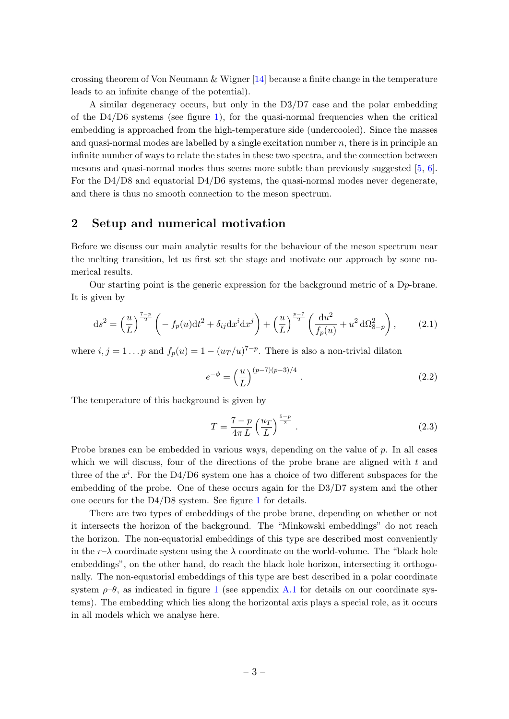crossing theorem of Von Neumann & Wigner [\[14\]](#page-24-0) because a finite change in the temperature leads to an infinite change of the potential).

A similar degeneracy occurs, but only in the D3/D7 case and the polar embedding of the  $D4/D6$  systems (see figure [1\)](#page-5-0), for the quasi-normal frequencies when the critical embedding is approached from the high-temperature side (undercooled). Since the masses and quasi-normal modes are labelled by a single excitation number  $n$ , there is in principle an infinite number of ways to relate the states in these two spectra, and the connection between mesons and quasi-normal modes thus seems more subtle than previously suggested [\[5,](#page-23-1) [6\]](#page-23-2). For the D4/D8 and equatorial D4/D6 systems, the quasi-normal modes never degenerate, and there is thus no smooth connection to the meson spectrum.

## <span id="page-4-0"></span>2 Setup and numerical motivation

Before we discuss our main analytic results for the behaviour of the meson spectrum near the melting transition, let us first set the stage and motivate our approach by some numerical results.

Our starting point is the generic expression for the background metric of a  $D_p$ -brane. It is given by

<span id="page-4-1"></span>
$$
ds^{2} = \left(\frac{u}{L}\right)^{\frac{7-p}{2}} \left(-f_{p}(u)dt^{2} + \delta_{ij}dx^{i}dx^{j}\right) + \left(\frac{u}{L}\right)^{\frac{p-7}{2}} \left(\frac{du^{2}}{f_{p}(u)} + u^{2}d\Omega_{8-p}^{2}\right),\tag{2.1}
$$

where  $i, j = 1 \dots p$  and  $f_p(u) = 1 - (u_T/u)^{7-p}$ . There is also a non-trivial dilaton

$$
e^{-\phi} = \left(\frac{u}{L}\right)^{(p-7)(p-3)/4}.
$$
 (2.2)

The temperature of this background is given by

$$
T = \frac{7-p}{4\pi L} \left(\frac{u_T}{L}\right)^{\frac{5-p}{2}}.
$$
\n
$$
(2.3)
$$

Probe branes can be embedded in various ways, depending on the value of p. In all cases which we will discuss, four of the directions of the probe brane are aligned with  $t$  and three of the  $x^i$ . For the D4/D6 system one has a choice of two different subspaces for the embedding of the probe. One of these occurs again for the D3/D7 system and the other one occurs for the D4/D8 system. See figure [1](#page-5-0) for details.

There are two types of embeddings of the probe brane, depending on whether or not it intersects the horizon of the background. The "Minkowski embeddings" do not reach the horizon. The non-equatorial embeddings of this type are described most conveniently in the  $r-\lambda$  coordinate system using the  $\lambda$  coordinate on the world-volume. The "black hole embeddings", on the other hand, do reach the black hole horizon, intersecting it orthogonally. The non-equatorial embeddings of this type are best described in a polar coordinate system  $\rho$ - $\theta$ , as indicated in figure [1](#page-5-0) (see appendix [A.1](#page-20-1) for details on our coordinate systems). The embedding which lies along the horizontal axis plays a special role, as it occurs in all models which we analyse here.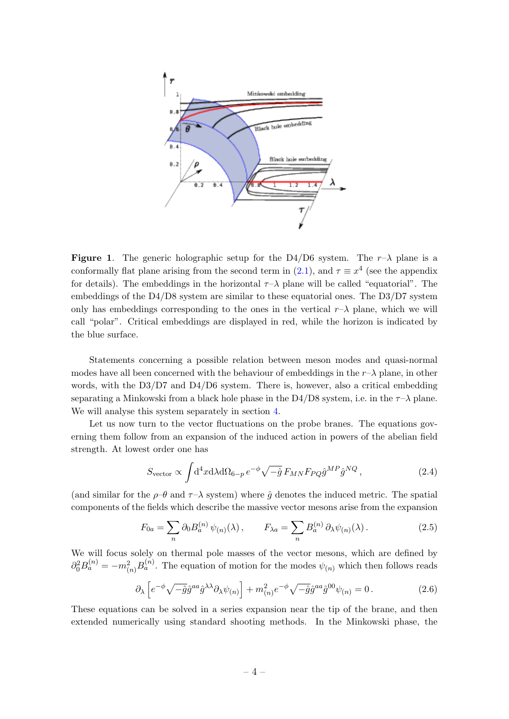

<span id="page-5-0"></span>**Figure 1.** The generic holographic setup for the D4/D6 system. The  $r-\lambda$  plane is a conformally flat plane arising from the second term in  $(2.1)$ , and  $\tau \equiv x^4$  (see the appendix for details). The embeddings in the horizontal  $\tau-\lambda$  plane will be called "equatorial". The embeddings of the  $D4/D8$  system are similar to these equatorial ones. The  $D3/D7$  system only has embeddings corresponding to the ones in the vertical  $r-\lambda$  plane, which we will call "polar". Critical embeddings are displayed in red, while the horizon is indicated by the blue surface.

Statements concerning a possible relation between meson modes and quasi-normal modes have all been concerned with the behaviour of embeddings in the  $r-\lambda$  plane, in other words, with the  $D3/D7$  and  $D4/D6$  system. There is, however, also a critical embedding separating a Minkowski from a black hole phase in the D4/D8 system, i.e. in the  $\tau-\lambda$  plane. We will analyse this system separately in section [4.](#page-16-0)

Let us now turn to the vector fluctuations on the probe branes. The equations governing them follow from an expansion of the induced action in powers of the abelian field strength. At lowest order one has

$$
S_{\text{vector}} \propto \int d^4x d\lambda d\Omega_{6-p} e^{-\phi} \sqrt{-\hat{g}} F_{MN} F_{PQ} \hat{g}^{MP} \hat{g}^{NQ} , \qquad (2.4)
$$

(and similar for the  $\rho-\theta$  and  $\tau-\lambda$  system) where  $\hat{q}$  denotes the induced metric. The spatial components of the fields which describe the massive vector mesons arise from the expansion

$$
F_{0a} = \sum_{n} \partial_0 B_a^{(n)} \psi_{(n)}(\lambda), \qquad F_{\lambda a} = \sum_{n} B_a^{(n)} \partial_\lambda \psi_{(n)}(\lambda).
$$
 (2.5)

We will focus solely on thermal pole masses of the vector mesons, which are defined by  $\partial_0^2 B_a^{(n)} = -m_{(n)}^2 B_a^{(n)}$ . The equation of motion for the modes  $\psi_{(n)}$  which then follows reads

<span id="page-5-1"></span>
$$
\partial_{\lambda} \left[ e^{-\phi} \sqrt{-\hat{g}} \hat{g}^{aa} \hat{g}^{\lambda\lambda} \partial_{\lambda} \psi_{(n)} \right] + m_{(n)}^2 e^{-\phi} \sqrt{-\hat{g}} \hat{g}^{aa} \hat{g}^{00} \psi_{(n)} = 0. \tag{2.6}
$$

These equations can be solved in a series expansion near the tip of the brane, and then extended numerically using standard shooting methods. In the Minkowski phase, the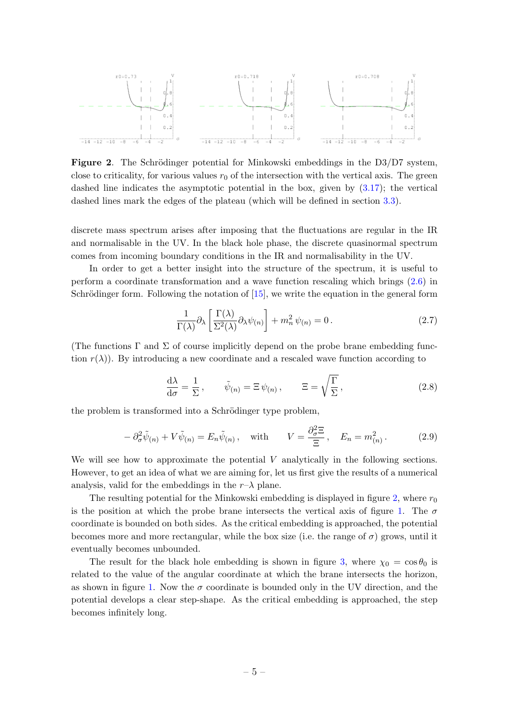

<span id="page-6-0"></span>Figure 2. The Schrödinger potential for Minkowski embeddings in the D3/D7 system, close to criticality, for various values  $r_0$  of the intersection with the vertical axis. The green dashed line indicates the asymptotic potential in the box, given by [\(3.17\)](#page-10-0); the vertical dashed lines mark the edges of the plateau (which will be defined in section [3.3\)](#page-9-0).

discrete mass spectrum arises after imposing that the fluctuations are regular in the IR and normalisable in the UV. In the black hole phase, the discrete quasinormal spectrum comes from incoming boundary conditions in the IR and normalisability in the UV.

In order to get a better insight into the structure of the spectrum, it is useful to perform a coordinate transformation and a wave function rescaling which brings [\(2.6\)](#page-5-1) in Schrödinger form. Following the notation of  $[15]$ , we write the equation in the general form

$$
\frac{1}{\Gamma(\lambda)} \partial_{\lambda} \left[ \frac{\Gamma(\lambda)}{\Sigma^2(\lambda)} \partial_{\lambda} \psi_{(n)} \right] + m_n^2 \psi_{(n)} = 0.
$$
 (2.7)

(The functions  $\Gamma$  and  $\Sigma$  of course implicitly depend on the probe brane embedding function  $r(\lambda)$ ). By introducing a new coordinate and a rescaled wave function according to

$$
\frac{d\lambda}{d\sigma} = \frac{1}{\Sigma}, \qquad \tilde{\psi}_{(n)} = \Xi \psi_{(n)}, \qquad \Xi = \sqrt{\frac{\Gamma}{\Sigma}}, \qquad (2.8)
$$

the problem is transformed into a Schrödinger type problem,

<span id="page-6-1"></span>
$$
-\partial_{\sigma}^{2}\tilde{\psi}_{(n)} + V\tilde{\psi}_{(n)} = E_{n}\tilde{\psi}_{(n)}, \quad \text{with} \qquad V = \frac{\partial_{\sigma}^{2}\Xi}{\Xi}, \quad E_{n} = m_{(n)}^{2}.
$$
 (2.9)

We will see how to approximate the potential  $V$  analytically in the following sections. However, to get an idea of what we are aiming for, let us first give the results of a numerical analysis, valid for the embeddings in the  $r-\lambda$  plane.

The resulting potential for the Minkowski embedding is displayed in figure [2,](#page-6-0) where  $r_0$ is the position at which the probe brane intersects the vertical axis of figure [1.](#page-5-0) The  $\sigma$ coordinate is bounded on both sides. As the critical embedding is approached, the potential becomes more and more rectangular, while the box size (i.e. the range of  $\sigma$ ) grows, until it eventually becomes unbounded.

The result for the black hole embedding is shown in figure [3,](#page-7-2) where  $\chi_0 = \cos \theta_0$  is related to the value of the angular coordinate at which the brane intersects the horizon, as shown in figure [1.](#page-5-0) Now the  $\sigma$  coordinate is bounded only in the UV direction, and the potential develops a clear step-shape. As the critical embedding is approached, the step becomes infinitely long.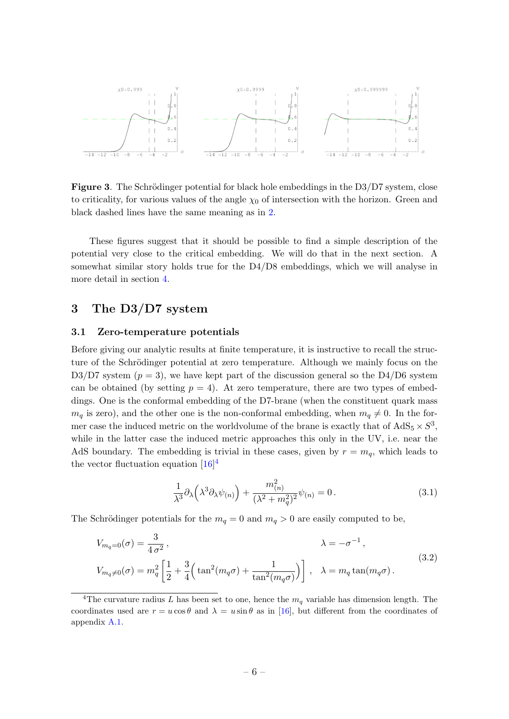

<span id="page-7-2"></span>**Figure 3.** The Schrödinger potential for black hole embeddings in the  $D3/D7$  system, close to criticality, for various values of the angle  $\chi_0$  of intersection with the horizon. Green and black dashed lines have the same meaning as in [2.](#page-6-0)

These figures suggest that it should be possible to find a simple description of the potential very close to the critical embedding. We will do that in the next section. A somewhat similar story holds true for the D4/D8 embeddings, which we will analyse in more detail in section [4.](#page-16-0)

## <span id="page-7-0"></span>3 The D3/D7 system

#### <span id="page-7-1"></span>3.1 Zero-temperature potentials

Before giving our analytic results at finite temperature, it is instructive to recall the structure of the Schrödinger potential at zero temperature. Although we mainly focus on the D3/D7 system  $(p = 3)$ , we have kept part of the discussion general so the D4/D6 system can be obtained (by setting  $p = 4$ ). At zero temperature, there are two types of embeddings. One is the conformal embedding of the D7-brane (when the constituent quark mass  $m_q$  is zero), and the other one is the non-conformal embedding, when  $m_q \neq 0$ . In the former case the induced metric on the worldvolume of the brane is exactly that of  $AdS_5 \times S^3$ , while in the latter case the induced metric approaches this only in the UV, i.e. near the AdS boundary. The embedding is trivial in these cases, given by  $r = m_q$ , which leads to the vector fluctuation equation  $[16]^{4}$  $[16]^{4}$  $[16]^{4}$ 

$$
\frac{1}{\lambda^3} \partial_{\lambda} \left( \lambda^3 \partial_{\lambda} \psi_{(n)} \right) + \frac{m_{(n)}^2}{(\lambda^2 + m_q^2)^2} \psi_{(n)} = 0. \tag{3.1}
$$

The Schrödinger potentials for the  $m_q = 0$  and  $m_q > 0$  are easily computed to be,

$$
V_{m_q=0}(\sigma) = \frac{3}{4\sigma^2},
$$
  
\n
$$
V_{m_q\neq 0}(\sigma) = m_q^2 \left[ \frac{1}{2} + \frac{3}{4} \left( \tan^2(m_q \sigma) + \frac{1}{\tan^2(m_q \sigma)} \right) \right],
$$
  
\n
$$
\lambda = -\sigma^{-1},
$$
\n(3.2)

<span id="page-7-3"></span><sup>&</sup>lt;sup>4</sup>The curvature radius L has been set to one, hence the  $m_q$  variable has dimension length. The coordinates used are  $r = u \cos \theta$  and  $\lambda = u \sin \theta$  as in [\[16\]](#page-24-2), but different from the coordinates of appendix [A.1.](#page-20-1)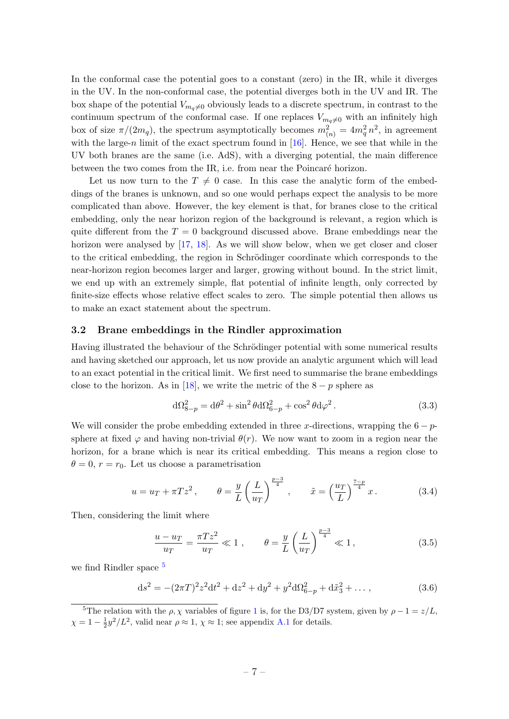In the conformal case the potential goes to a constant (zero) in the IR, while it diverges in the UV. In the non-conformal case, the potential diverges both in the UV and IR. The box shape of the potential  $V_{m_q\neq0}$  obviously leads to a discrete spectrum, in contrast to the continuum spectrum of the conformal case. If one replaces  $V_{m_q\neq0}$  with an infinitely high box of size  $\pi/(2m_q)$ , the spectrum asymptotically becomes  $m_{(n)}^2 = 4m_q^2 n^2$ , in agreement with the large-n limit of the exact spectrum found in  $[16]$ . Hence, we see that while in the UV both branes are the same (i.e. AdS), with a diverging potential, the main difference between the two comes from the IR, i.e. from near the Poincaré horizon.

Let us now turn to the  $T \neq 0$  case. In this case the analytic form of the embeddings of the branes is unknown, and so one would perhaps expect the analysis to be more complicated than above. However, the key element is that, for branes close to the critical embedding, only the near horizon region of the background is relevant, a region which is quite different from the  $T = 0$  background discussed above. Brane embeddings near the horizon were analysed by [\[17,](#page-24-3) [18\]](#page-24-4). As we will show below, when we get closer and closer to the critical embedding, the region in Schrödinger coordinate which corresponds to the near-horizon region becomes larger and larger, growing without bound. In the strict limit, we end up with an extremely simple, flat potential of infinite length, only corrected by finite-size effects whose relative effect scales to zero. The simple potential then allows us to make an exact statement about the spectrum.

#### <span id="page-8-0"></span>3.2 Brane embeddings in the Rindler approximation

Having illustrated the behaviour of the Schrödinger potential with some numerical results and having sketched our approach, let us now provide an analytic argument which will lead to an exact potential in the critical limit. We first need to summarise the brane embeddings close to the horizon. As in [\[18\]](#page-24-4), we write the metric of the  $8-p$  sphere as

$$
d\Omega_{8-p}^2 = d\theta^2 + \sin^2\theta d\Omega_{6-p}^2 + \cos^2\theta d\varphi^2.
$$
 (3.3)

We will consider the probe embedding extended in three x-directions, wrapping the  $6 - p$ sphere at fixed  $\varphi$  and having non-trivial  $\theta(r)$ . We now want to zoom in a region near the horizon, for a brane which is near its critical embedding. This means a region close to  $\theta = 0, r = r_0$ . Let us choose a parametrisation

$$
u = u_T + \pi T z^2
$$
,  $\theta = \frac{y}{L} \left(\frac{L}{u_T}\right)^{\frac{p-3}{4}}$ ,  $\tilde{x} = \left(\frac{u_T}{L}\right)^{\frac{7-p}{4}} x$ . (3.4)

Then, considering the limit where

$$
\frac{u - u_T}{u_T} = \frac{\pi T z^2}{u_T} \ll 1 \;, \qquad \theta = \frac{y}{L} \left(\frac{L}{u_T}\right)^{\frac{p-3}{4}} \ll 1 \;, \tag{3.5}
$$

we find Rindler space  $5$ 

$$
ds^{2} = -(2\pi T)^{2}z^{2}dt^{2} + dz^{2} + dy^{2} + y^{2}d\Omega_{6-p}^{2} + d\tilde{x}_{3}^{2} + \dots,
$$
\n(3.6)

<span id="page-8-1"></span><sup>&</sup>lt;sup>5</sup>The relation with the  $\rho, \chi$  variables of figure [1](#page-5-0) is, for the D3/D7 system, given by  $\rho - 1 = z/L$ ,  $\chi = 1 - \frac{1}{2}y^2/L^2$ , valid near  $\rho \approx 1$ ,  $\chi \approx 1$ ; see appendix [A.1](#page-20-1) for details.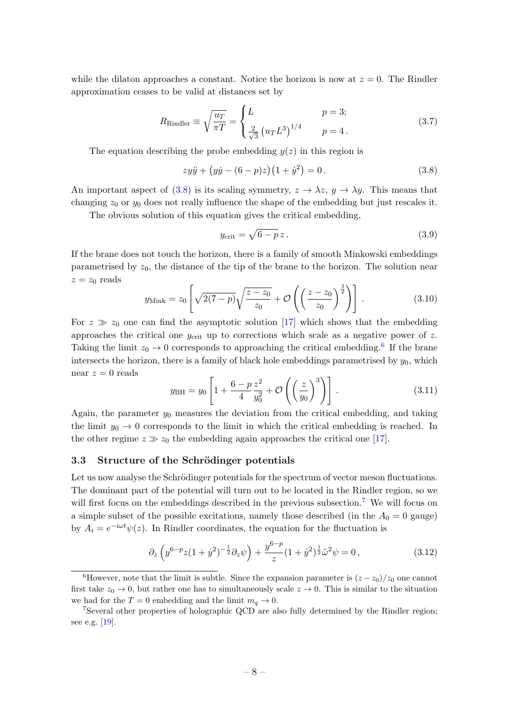while the dilaton approaches a constant. Notice the horizon is now at  $z = 0$ . The Rindler approximation ceases to be valid at distances set by

$$
R_{\text{Rindler}} \equiv \sqrt{\frac{u_T}{\pi T}} = \begin{cases} L & p = 3; \\ \frac{2}{\sqrt{3}} \left( u_T L^3 \right)^{1/4} & p = 4 \,. \end{cases} \tag{3.7}
$$

The equation describing the probe embedding  $y(z)$  in this region is

<span id="page-9-1"></span>
$$
zy\ddot{y} + (y\dot{y} - (6 - p)z)(1 + \dot{y}^2) = 0.
$$
\n(3.8)

An important aspect of [\(3.8\)](#page-9-1) is its scaling symmetry,  $z \to \lambda z$ ,  $y \to \lambda y$ . This means that changing  $z_0$  or  $y_0$  does not really influence the shape of the embedding but just rescales it.

The obvious solution of this equation gives the critical embedding,

<span id="page-9-5"></span>
$$
y_{\rm crit} = \sqrt{6 - p} z. \tag{3.9}
$$

If the brane does not touch the horizon, there is a family of smooth Minkowski embeddings parametrised by  $z_0$ , the distance of the tip of the brane to the horizon. The solution near  $z = z_0$  reads

$$
y_{\text{Mink}} = z_0 \left[ \sqrt{2(7-p)} \sqrt{\frac{z-z_0}{z_0}} + \mathcal{O}\left( \left( \frac{z-z_0}{z_0} \right)^{\frac{3}{2}} \right) \right].
$$
 (3.10)

For  $z \gg z_0$  one can find the asymptotic solution [\[17\]](#page-24-3) which shows that the embedding approaches the critical one  $y_{\text{crit}}$  up to corrections which scale as a negative power of z. Taking the limit  $z_0 \to 0$  corresponds to approaching the critical embedding.<sup>[6](#page-9-2)</sup> If the brane intersects the horizon, there is a family of black hole embeddings parametrised by  $y_0$ , which near  $z = 0$  reads

$$
y_{\rm BH} = y_0 \left[ 1 + \frac{6 - p}{4} \frac{z^2}{y_0^2} + \mathcal{O}\left( \left( \frac{z}{y_0} \right)^3 \right) \right].
$$
 (3.11)

Again, the parameter  $y_0$  measures the deviation from the critical embedding, and taking the limit  $y_0 \rightarrow 0$  corresponds to the limit in which the critical embedding is reached. In the other regime  $z \gg z_0$  the embedding again approaches the critical one [\[17\]](#page-24-3).

#### <span id="page-9-0"></span>3.3 Structure of the Schrödinger potentials

Let us now analyse the Schrödinger potentials for the spectrum of vector meson fluctuations. The dominant part of the potential will turn out to be located in the Rindler region, so we will first focus on the embeddings described in the previous subsection.<sup>[7](#page-9-3)</sup> We will focus on a simple subset of the possible excitations, namely those described (in the  $A_0 = 0$  gauge) by  $A_i = e^{-i\omega t}\psi(z)$ . In Rindler coordinates, the equation for the fluctuation is

<span id="page-9-4"></span>
$$
\partial_z \left( y^{6-p} z (1+y^2)^{-\frac{1}{2}} \partial_z \psi \right) + \frac{y^{6-p}}{z} (1+y^2)^{\frac{1}{2}} \tilde{\omega}^2 \psi = 0, \tag{3.12}
$$

<span id="page-9-2"></span><sup>&</sup>lt;sup>6</sup>However, note that the limit is subtle. Since the expansion parameter is  $(z - z_0)/z_0$  one cannot first take  $z_0 \to 0$ , but rather one has to simultaneously scale  $z \to 0$ . This is similar to the situation we had for the  $T = 0$  embedding and the limit  $m_q \to 0$ .

<span id="page-9-3"></span><sup>7</sup>Several other properties of holographic QCD are also fully determined by the Rindler region; see e.g. [\[19\]](#page-24-5).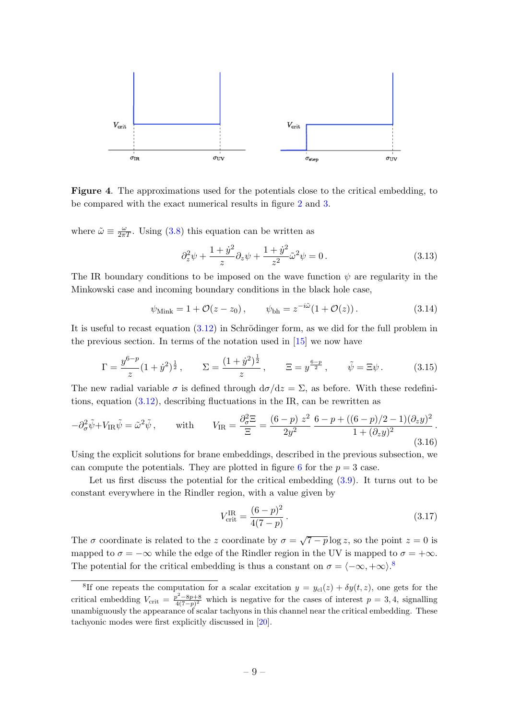

<span id="page-10-2"></span>Figure 4. The approximations used for the potentials close to the critical embedding, to be compared with the exact numerical results in figure [2](#page-6-0) and [3.](#page-7-2)

where  $\tilde{\omega} \equiv \frac{\omega}{2\pi T}$ . Using [\(3.8\)](#page-9-1) this equation can be written as

$$
\partial_z^2 \psi + \frac{1 + \dot{y}^2}{z} \partial_z \psi + \frac{1 + \dot{y}^2}{z^2} \tilde{\omega}^2 \psi = 0.
$$
 (3.13)

The IR boundary conditions to be imposed on the wave function  $\psi$  are regularity in the Minkowski case and incoming boundary conditions in the black hole case,

$$
\psi_{\text{Mink}} = 1 + \mathcal{O}(z - z_0), \qquad \psi_{\text{bh}} = z^{-i\tilde{\omega}} (1 + \mathcal{O}(z)).
$$
\n(3.14)

It is useful to recast equation  $(3.12)$  in Schrödinger form, as we did for the full problem in the previous section. In terms of the notation used in [\[15\]](#page-24-1) we now have

<span id="page-10-3"></span>
$$
\Gamma = \frac{y^{6-p}}{z} (1 + \dot{y}^2)^{\frac{1}{2}}, \qquad \Sigma = \frac{(1 + \dot{y}^2)^{\frac{1}{2}}}{z}, \qquad \Xi = y^{\frac{6-p}{2}}, \qquad \tilde{\psi} = \Xi \psi. \tag{3.15}
$$

The new radial variable  $\sigma$  is defined through  $d\sigma/dz = \Sigma$ , as before. With these redefinitions, equation [\(3.12\)](#page-9-4), describing fluctuations in the IR, can be rewritten as

$$
-\partial_{\sigma}^{2} \tilde{\psi} + V_{\rm IR} \tilde{\psi} = \tilde{\omega}^{2} \tilde{\psi}, \quad \text{with} \quad V_{\rm IR} = \frac{\partial_{\sigma}^{2} \Xi}{\Xi} = \frac{(6-p) z^{2}}{2y^{2}} \frac{6-p + ((6-p)/2 - 1)(\partial_{z} y)^{2}}{1 + (\partial_{z} y)^{2}}.
$$
\n(3.16)

Using the explicit solutions for brane embeddings, described in the previous subsection, we can compute the potentials. They are plotted in figure [6](#page-12-0) for the  $p = 3$  case.

Let us first discuss the potential for the critical embedding  $(3.9)$ . It turns out to be constant everywhere in the Rindler region, with a value given by

<span id="page-10-0"></span>
$$
V_{\text{crit}}^{\text{IR}} = \frac{(6-p)^2}{4(7-p)}.
$$
\n(3.17)

The  $\sigma$  coordinate is related to the z coordinate by  $\sigma =$  $\sqrt{7-p} \log z$ , so the point  $z=0$  is mapped to  $\sigma = -\infty$  while the edge of the Rindler region in the UV is mapped to  $\sigma = +\infty$ . The potential for the critical embedding is thus a constant on  $\sigma = \langle -\infty, +\infty \rangle$ .<sup>[8](#page-10-1)</sup>

<span id="page-10-1"></span><sup>&</sup>lt;sup>8</sup>If one repeats the computation for a scalar excitation  $y = y_{\text{cl}}(z) + \delta y(t, z)$ , one gets for the critical embedding  $V_{\text{crit}} = \frac{p^2-8p+8}{4(7-p)^2}$  which is negative for the cases of interest  $p = 3, 4$ , signalling unambiguously the appearance of scalar tachyons in this channel near the critical embedding. These tachyonic modes were first explicitly discussed in [\[20\]](#page-24-6).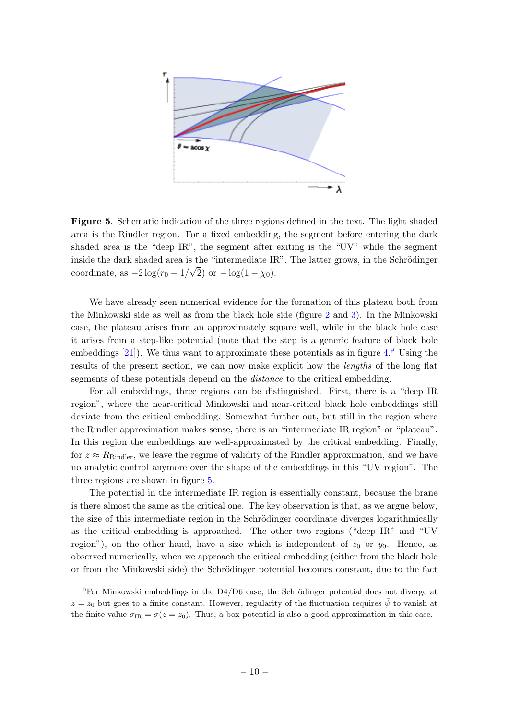

<span id="page-11-1"></span>Figure 5. Schematic indication of the three regions defined in the text. The light shaded area is the Rindler region. For a fixed embedding, the segment before entering the dark shaded area is the "deep IR", the segment after exiting is the "UV" while the segment inside the dark shaded area is the "intermediate  $\text{IR}$ ". The latter grows, in the Schrödinger coordinate, as  $-2\log(r_0 - 1/\sqrt{2})$  or  $-\log(1 - \chi_0)$ .

We have already seen numerical evidence for the formation of this plateau both from the Minkowski side as well as from the black hole side (figure [2](#page-6-0) and [3\)](#page-7-2). In the Minkowski case, the plateau arises from an approximately square well, while in the black hole case it arises from a step-like potential (note that the step is a generic feature of black hole embeddings  $[21]$ ). We thus want to approximate these potentials as in figure  $4.9$  $4.9$  Using the results of the present section, we can now make explicit how the lengths of the long flat segments of these potentials depend on the distance to the critical embedding.

For all embeddings, three regions can be distinguished. First, there is a "deep IR region", where the near-critical Minkowski and near-critical black hole embeddings still deviate from the critical embedding. Somewhat further out, but still in the region where the Rindler approximation makes sense, there is an "intermediate IR region" or "plateau". In this region the embeddings are well-approximated by the critical embedding. Finally, for  $z \approx R_{\text{Rindler}}$ , we leave the regime of validity of the Rindler approximation, and we have no analytic control anymore over the shape of the embeddings in this "UV region". The three regions are shown in figure [5.](#page-11-1)

The potential in the intermediate IR region is essentially constant, because the brane is there almost the same as the critical one. The key observation is that, as we argue below, the size of this intermediate region in the Schrödinger coordinate diverges logarithmically as the critical embedding is approached. The other two regions ("deep IR" and "UV region"), on the other hand, have a size which is independent of  $z_0$  or  $y_0$ . Hence, as observed numerically, when we approach the critical embedding (either from the black hole or from the Minkowski side) the Schrödinger potential becomes constant, due to the fact

<span id="page-11-0"></span> $^{9}$ For Minkowski embeddings in the D4/D6 case, the Schrödinger potential does not diverge at  $z = z_0$  but goes to a finite constant. However, regularity of the fluctuation requires  $\tilde{\psi}$  to vanish at the finite value  $\sigma_{IR} = \sigma(z = z_0)$ . Thus, a box potential is also a good approximation in this case.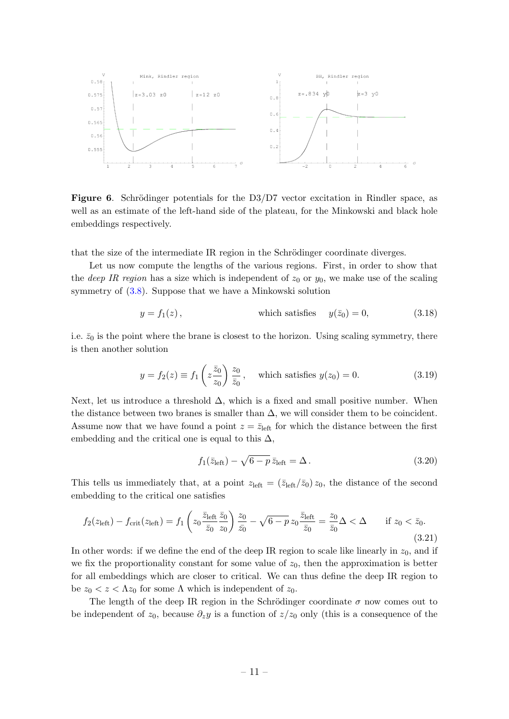

<span id="page-12-0"></span>**Figure 6.** Schrödinger potentials for the  $D3/D7$  vector excitation in Rindler space, as well as an estimate of the left-hand side of the plateau, for the Minkowski and black hole embeddings respectively.

that the size of the intermediate IR region in the Schrödinger coordinate diverges.

Let us now compute the lengths of the various regions. First, in order to show that the deep IR region has a size which is independent of  $z_0$  or  $y_0$ , we make use of the scaling symmetry of  $(3.8)$ . Suppose that we have a Minkowski solution

$$
y = f_1(z), \qquad \text{which satisfies} \qquad y(\bar{z}_0) = 0, \tag{3.18}
$$

i.e.  $\bar{z}_0$  is the point where the brane is closest to the horizon. Using scaling symmetry, there is then another solution

$$
y = f_2(z) \equiv f_1\left(z\frac{\bar{z}_0}{z_0}\right)\frac{z_0}{\bar{z}_0}, \quad \text{which satisfies } y(z_0) = 0. \tag{3.19}
$$

Next, let us introduce a threshold  $\Delta$ , which is a fixed and small positive number. When the distance between two branes is smaller than  $\Delta$ , we will consider them to be coincident. Assume now that we have found a point  $z = \bar{z}_{\text{left}}$  for which the distance between the first embedding and the critical one is equal to this  $\Delta$ ,

$$
f_1(\bar{z}_{\text{left}}) - \sqrt{6 - p} \,\bar{z}_{\text{left}} = \Delta \,. \tag{3.20}
$$

This tells us immediately that, at a point  $z_{\text{left}} = (\bar{z}_{\text{left}}/\bar{z}_0) z_0$ , the distance of the second embedding to the critical one satisfies

$$
f_2(z_{\text{left}}) - f_{\text{crit}}(z_{\text{left}}) = f_1\left(z_0 \frac{\overline{z}_{\text{left}}}{\overline{z}_0} \frac{\overline{z}_0}{z_0}\right) \frac{z_0}{\overline{z}_0} - \sqrt{6 - p} z_0 \frac{\overline{z}_{\text{left}}}{\overline{z}_0} = \frac{z_0}{\overline{z}_0} \Delta < \Delta \quad \text{if } z_0 < \overline{z}_0. \tag{3.21}
$$

In other words: if we define the end of the deep IR region to scale like linearly in  $z_0$ , and if we fix the proportionality constant for some value of  $z<sub>0</sub>$ , then the approximation is better for all embeddings which are closer to critical. We can thus define the deep IR region to be  $z_0 < z < \Lambda z_0$  for some  $\Lambda$  which is independent of  $z_0$ .

The length of the deep IR region in the Schrödinger coordinate  $\sigma$  now comes out to be independent of  $z_0$ , because  $\partial_z y$  is a function of  $z/z_0$  only (this is a consequence of the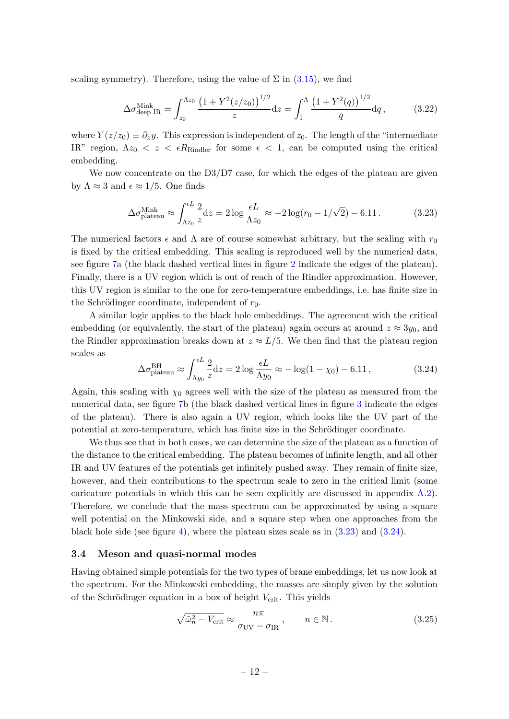scaling symmetry). Therefore, using the value of  $\Sigma$  in  $(3.15)$ , we find

$$
\Delta \sigma_{\text{deep IR}}^{\text{Mink}} = \int_{z_0}^{\Lambda z_0} \frac{\left(1 + Y^2(z/z_0)\right)^{1/2}}{z} dz = \int_1^{\Lambda} \frac{\left(1 + Y^2(q)\right)^{1/2}}{q} dq, \tag{3.22}
$$

where  $Y(z/z_0) \equiv \partial_z y$ . This expression is independent of  $z_0$ . The length of the "intermediate" IR" region,  $\Lambda z_0 < z < \epsilon R_{\text{Rindler}}$  for some  $\epsilon < 1$ , can be computed using the critical embedding.

We now concentrate on the D3/D7 case, for which the edges of the plateau are given by  $\Lambda \approx 3$  and  $\epsilon \approx 1/5$ . One finds

<span id="page-13-1"></span>
$$
\Delta \sigma_{\text{plateau}}^{\text{Mink}} \approx \int_{\Lambda z_0}^{\epsilon L} \frac{2}{z} dz = 2 \log \frac{\epsilon L}{\Lambda z_0} \approx -2 \log(r_0 - 1/\sqrt{2}) - 6.11. \tag{3.23}
$$

The numerical factors  $\epsilon$  and  $\Lambda$  are of course somewhat arbitrary, but the scaling with  $r_0$ is fixed by the critical embedding. This scaling is reproduced well by the numerical data, see figure [7a](#page-14-0) (the black dashed vertical lines in figure [2](#page-6-0) indicate the edges of the plateau). Finally, there is a UV region which is out of reach of the Rindler approximation. However, this UV region is similar to the one for zero-temperature embeddings, i.e. has finite size in the Schrödinger coordinate, independent of  $r_0$ .

A similar logic applies to the black hole embeddings. The agreement with the critical embedding (or equivalently, the start of the plateau) again occurs at around  $z \approx 3y_0$ , and the Rindler approximation breaks down at  $z \approx L/5$ . We then find that the plateau region scales as

<span id="page-13-2"></span>
$$
\Delta \sigma_{\text{plateau}}^{\text{BH}} \approx \int_{\Lambda y_0}^{\epsilon L} \frac{2}{z} dz = 2 \log \frac{\epsilon L}{\Lambda y_0} \approx -\log(1 - \chi_0) - 6.11 \,, \tag{3.24}
$$

Again, this scaling with  $\chi_0$  agrees well with the size of the plateau as measured from the numerical data, see figure [7b](#page-14-0) (the black dashed vertical lines in figure [3](#page-7-2) indicate the edges of the plateau). There is also again a UV region, which looks like the UV part of the potential at zero-temperature, which has finite size in the Schrödinger coordinate.

We thus see that in both cases, we can determine the size of the plateau as a function of the distance to the critical embedding. The plateau becomes of infinite length, and all other IR and UV features of the potentials get infinitely pushed away. They remain of finite size, however, and their contributions to the spectrum scale to zero in the critical limit (some caricature potentials in which this can be seen explicitly are discussed in appendix [A.2\)](#page-22-0). Therefore, we conclude that the mass spectrum can be approximated by using a square well potential on the Minkowski side, and a square step when one approaches from the black hole side (see figure [4\)](#page-10-2), where the plateau sizes scale as in  $(3.23)$  and  $(3.24)$ .

#### <span id="page-13-0"></span>3.4 Meson and quasi-normal modes

Having obtained simple potentials for the two types of brane embeddings, let us now look at the spectrum. For the Minkowski embedding, the masses are simply given by the solution of the Schrödinger equation in a box of height  $V_{\text{crit}}$ . This yields

$$
\sqrt{\tilde{\omega}_n^2 - V_{\text{crit}}} \approx \frac{n\pi}{\sigma_{\text{UV}} - \sigma_{\text{IR}}}, \qquad n \in \mathbb{N}.
$$
\n(3.25)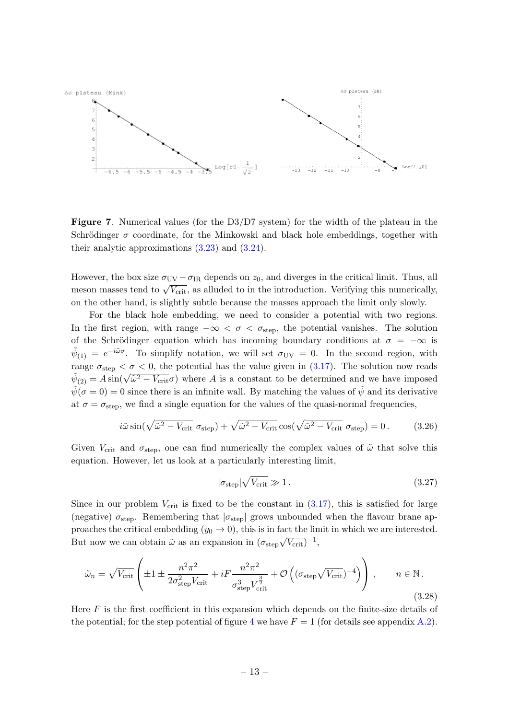

<span id="page-14-0"></span>Figure 7. Numerical values (for the D3/D7 system) for the width of the plateau in the Schrödinger  $\sigma$  coordinate, for the Minkowski and black hole embeddings, together with their analytic approximations  $(3.23)$  and  $(3.24)$ .

However, the box size  $\sigma_{UV} - \sigma_{IR}$  depends on  $z_0$ , and diverges in the critical limit. Thus, all meson masses tend to  $\sqrt{V_{\rm crit}}$ , as alluded to in the introduction. Verifying this numerically, on the other hand, is slightly subtle because the masses approach the limit only slowly.

For the black hole embedding, we need to consider a potential with two regions. In the first region, with range  $-\infty < \sigma < \sigma_{\text{step}}$ , the potential vanishes. The solution of the Schrödinger equation which has incoming boundary conditions at  $\sigma = -\infty$  is  $\tilde{\psi}_{(1)} = e^{-i\tilde{\omega}\sigma}$ . To simplify notation, we will set  $\sigma_{\text{UV}} = 0$ . In the second region, with range  $\sigma_{\text{step}} < \sigma < 0$ , the potential has the value given in [\(3.17\)](#page-10-0). The solution now reads  $\tilde{\psi}_{(2)} = A \sin(\sqrt{\tilde{\omega}^2 - V_{\text{crit}}} \sigma)$  where A is a constant to be determined and we have imposed  $\tilde{\psi}(\sigma=0)=0$  since there is an infinite wall. By matching the values of  $\tilde{\psi}$  and its derivative at  $\sigma = \sigma_{\text{step}}$ , we find a single equation for the values of the quasi-normal frequencies,

$$
i\tilde{\omega}\sin(\sqrt{\tilde{\omega}^2 - V_{\rm crit}}\,\sigma_{\rm step}) + \sqrt{\tilde{\omega}^2 - V_{\rm crit}}\cos(\sqrt{\tilde{\omega}^2 - V_{\rm crit}}\,\sigma_{\rm step}) = 0. \tag{3.26}
$$

Given  $V_{\text{crit}}$  and  $\sigma_{\text{step}}$ , one can find numerically the complex values of  $\tilde{\omega}$  that solve this equation. However, let us look at a particularly interesting limit,

$$
|\sigma_{\text{step}}|\sqrt{V_{\text{crit}}}\gg 1.\tag{3.27}
$$

Since in our problem  $V_{\text{crit}}$  is fixed to be the constant in  $(3.17)$ , this is satisfied for large (negative)  $\sigma_{\text{step}}$ . Remembering that  $|\sigma_{\text{step}}|$  grows unbounded when the flavour brane approaches the critical embedding  $(y_0 \to 0)$ , this is in fact the limit in which we are interested. But now we can obtain  $\tilde{\omega}$  as an expansion in  $(\sigma_{step}\sqrt{V_{crit}})^{-1}$ ,

<span id="page-14-1"></span>
$$
\tilde{\omega}_n = \sqrt{V_{\text{crit}}} \left( \pm 1 \pm \frac{n^2 \pi^2}{2\sigma_{\text{step}}^2 V_{\text{crit}}} + iF \frac{n^2 \pi^2}{\sigma_{\text{step}}^3 V_{\text{crit}}^{\frac{3}{2}}} + \mathcal{O}\left((\sigma_{\text{step}} \sqrt{V_{\text{crit}}})^{-4}\right) \right), \qquad n \in \mathbb{N}.
$$
\n(3.28)

Here  $F$  is the first coefficient in this expansion which depends on the finite-size details of the potential; for the step potential of figure [4](#page-10-2) we have  $F = 1$  (for details see appendix [A.2\)](#page-22-0).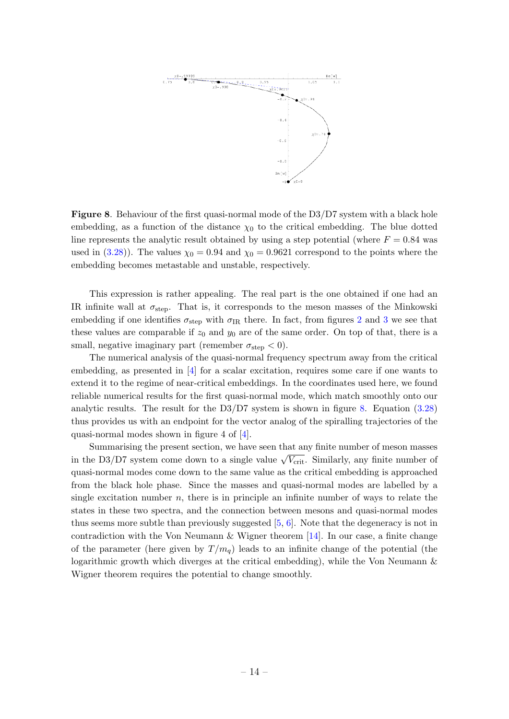

<span id="page-15-0"></span>Figure 8. Behaviour of the first quasi-normal mode of the D3/D7 system with a black hole embedding, as a function of the distance  $\chi_0$  to the critical embedding. The blue dotted line represents the analytic result obtained by using a step potential (where  $F = 0.84$  was used in [\(3.28\)](#page-14-1)). The values  $\chi_0 = 0.94$  and  $\chi_0 = 0.9621$  correspond to the points where the embedding becomes metastable and unstable, respectively.

This expression is rather appealing. The real part is the one obtained if one had an IR infinite wall at  $\sigma_{\text{step}}$ . That is, it corresponds to the meson masses of the Minkowski embedding if one identifies  $\sigma_{\text{step}}$  with  $\sigma_{IR}$  there. In fact, from figures [2](#page-6-0) and [3](#page-7-2) we see that these values are comparable if  $z_0$  and  $y_0$  are of the same order. On top of that, there is a small, negative imaginary part (remember  $\sigma_{\text{step}} < 0$ ).

The numerical analysis of the quasi-normal frequency spectrum away from the critical embedding, as presented in [\[4\]](#page-23-0) for a scalar excitation, requires some care if one wants to extend it to the regime of near-critical embeddings. In the coordinates used here, we found reliable numerical results for the first quasi-normal mode, which match smoothly onto our analytic results. The result for the D3/D7 system is shown in figure [8.](#page-15-0) Equation [\(3.28\)](#page-14-1) thus provides us with an endpoint for the vector analog of the spiralling trajectories of the quasi-normal modes shown in figure 4 of [\[4\]](#page-23-0).

Summarising the present section, we have seen that any finite number of meson masses in the D3/D7 system come down to a single value  $\sqrt{V_{\text{crit}}}$ . Similarly, any finite number of  $\frac{1}{2}$ quasi-normal modes come down to the same value as the critical embedding is approached from the black hole phase. Since the masses and quasi-normal modes are labelled by a single excitation number  $n$ , there is in principle an infinite number of ways to relate the states in these two spectra, and the connection between mesons and quasi-normal modes thus seems more subtle than previously suggested [\[5,](#page-23-1) [6\]](#page-23-2). Note that the degeneracy is not in contradiction with the Von Neumann  $\&$  Wigner theorem [\[14\]](#page-24-0). In our case, a finite change of the parameter (here given by  $T/m_q$ ) leads to an infinite change of the potential (the logarithmic growth which diverges at the critical embedding), while the Von Neumann & Wigner theorem requires the potential to change smoothly.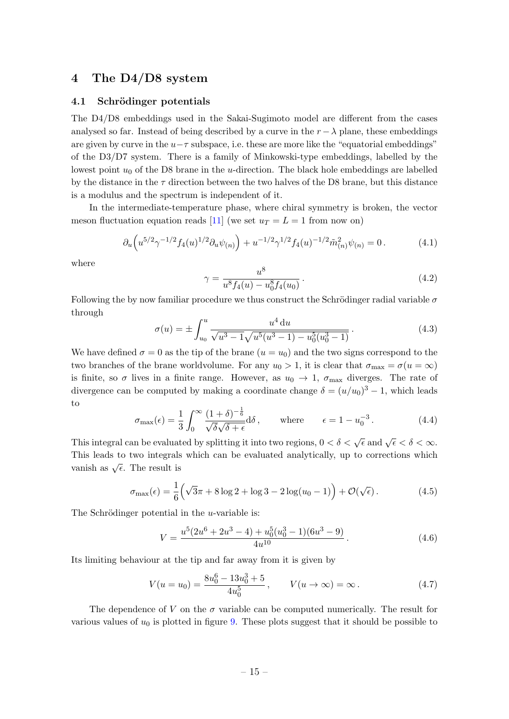## <span id="page-16-0"></span>4 The D4/D8 system

#### <span id="page-16-1"></span>4.1 Schrödinger potentials

The D4/D8 embeddings used in the Sakai-Sugimoto model are different from the cases analysed so far. Instead of being described by a curve in the  $r - \lambda$  plane, these embeddings are given by curve in the  $u-\tau$  subspace, i.e. these are more like the "equatorial embeddings" of the D3/D7 system. There is a family of Minkowski-type embeddings, labelled by the lowest point  $u_0$  of the D8 brane in the *u*-direction. The black hole embeddings are labelled by the distance in the  $\tau$  direction between the two halves of the D8 brane, but this distance is a modulus and the spectrum is independent of it.

In the intermediate-temperature phase, where chiral symmetry is broken, the vector meson fluctuation equation reads [\[11\]](#page-23-8) (we set  $u_T = L = 1$  from now on)

$$
\partial_u \left( u^{5/2} \gamma^{-1/2} f_4(u)^{1/2} \partial_u \psi_{(n)} \right) + u^{-1/2} \gamma^{1/2} f_4(u)^{-1/2} \tilde{m}_{(n)}^2 \psi_{(n)} = 0 \,. \tag{4.1}
$$

where

$$
\gamma = \frac{u^8}{u^8 f_4(u) - u_0^8 f_4(u_0)}.
$$
\n(4.2)

Following the by now familiar procedure we thus construct the Schrödinger radial variable  $\sigma$ through

$$
\sigma(u) = \pm \int_{u_0}^{u} \frac{u^4 du}{\sqrt{u^3 - 1}\sqrt{u^5(u^3 - 1) - u_0^5(u_0^3 - 1)}}.
$$
\n(4.3)

We have defined  $\sigma = 0$  as the tip of the brane  $(u = u_0)$  and the two signs correspond to the two branches of the brane worldvolume. For any  $u_0 > 1$ , it is clear that  $\sigma_{\text{max}} = \sigma(u = \infty)$ is finite, so  $\sigma$  lives in a finite range. However, as  $u_0 \to 1$ ,  $\sigma_{\text{max}}$  diverges. The rate of divergence can be computed by making a coordinate change  $\delta = (u/u_0)^3 - 1$ , which leads to

$$
\sigma_{\max}(\epsilon) = \frac{1}{3} \int_0^\infty \frac{(1+\delta)^{-\frac{1}{6}}}{\sqrt{\delta}\sqrt{\delta+\epsilon}} d\delta, \quad \text{where} \quad \epsilon = 1 - u_0^{-3}.
$$
 (4.4)

This integral can be evaluated by splitting it into two regions,  $0 < \delta < \sqrt{\epsilon}$  and  $\sqrt{\epsilon} < \delta < \infty$ . This leads to two integrals which can be evaluated analytically, up to corrections which vanish as  $\sqrt{\epsilon}$ . The result is

<span id="page-16-2"></span>
$$
\sigma_{\max}(\epsilon) = \frac{1}{6} \left( \sqrt{3}\pi + 8\log 2 + \log 3 - 2\log(u_0 - 1) \right) + \mathcal{O}(\sqrt{\epsilon}). \tag{4.5}
$$

The Schrödinger potential in the  $u$ -variable is:

$$
V = \frac{u^5(2u^6 + 2u^3 - 4) + u_0^5(u_0^3 - 1)(6u^3 - 9)}{4u^{10}}.
$$
\n(4.6)

Its limiting behaviour at the tip and far away from it is given by

$$
V(u = u_0) = \frac{8u_0^6 - 13u_0^3 + 5}{4u_0^5}, \qquad V(u \to \infty) = \infty.
$$
 (4.7)

The dependence of V on the  $\sigma$  variable can be computed numerically. The result for various values of  $u_0$  is plotted in figure [9.](#page-17-0) These plots suggest that it should be possible to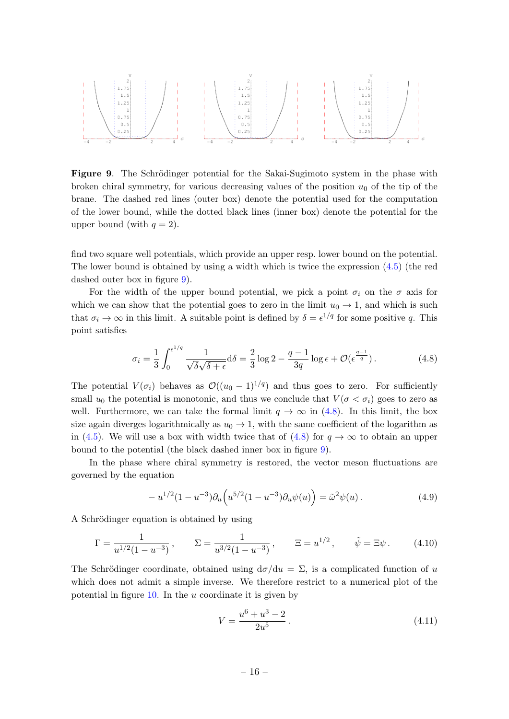

<span id="page-17-0"></span>**Figure 9.** The Schrödinger potential for the Sakai-Sugimoto system in the phase with broken chiral symmetry, for various decreasing values of the position  $u_0$  of the tip of the brane. The dashed red lines (outer box) denote the potential used for the computation of the lower bound, while the dotted black lines (inner box) denote the potential for the upper bound (with  $q = 2$ ).

find two square well potentials, which provide an upper resp. lower bound on the potential. The lower bound is obtained by using a width which is twice the expression [\(4.5\)](#page-16-2) (the red dashed outer box in figure [9\)](#page-17-0).

For the width of the upper bound potential, we pick a point  $\sigma_i$  on the  $\sigma$  axis for which we can show that the potential goes to zero in the limit  $u_0 \rightarrow 1$ , and which is such that  $\sigma_i \to \infty$  in this limit. A suitable point is defined by  $\delta = \epsilon^{1/q}$  for some positive q. This point satisfies

<span id="page-17-1"></span>
$$
\sigma_i = \frac{1}{3} \int_0^{\epsilon^{1/q}} \frac{1}{\sqrt{\delta}\sqrt{\delta + \epsilon}} d\delta = \frac{2}{3} \log 2 - \frac{q-1}{3q} \log \epsilon + \mathcal{O}(\epsilon^{\frac{q-1}{q}}). \tag{4.8}
$$

The potential  $V(\sigma_i)$  behaves as  $\mathcal{O}((u_0 - 1)^{1/q})$  and thus goes to zero. For sufficiently small  $u_0$  the potential is monotonic, and thus we conclude that  $V(\sigma < \sigma_i)$  goes to zero as well. Furthermore, we can take the formal limit  $q \to \infty$  in [\(4.8\)](#page-17-1). In this limit, the box size again diverges logarithmically as  $u_0 \to 1$ , with the same coefficient of the logarithm as in [\(4.5\)](#page-16-2). We will use a box with width twice that of [\(4.8\)](#page-17-1) for  $q \to \infty$  to obtain an upper bound to the potential (the black dashed inner box in figure [9\)](#page-17-0).

In the phase where chiral symmetry is restored, the vector meson fluctuations are governed by the equation

$$
-u^{1/2}(1-u^{-3})\partial_u(u^{5/2}(1-u^{-3})\partial_u\psi(u)) = \tilde{\omega}^2\psi(u).
$$
 (4.9)

A Schrödinger equation is obtained by using

$$
\Gamma = \frac{1}{u^{1/2}(1 - u^{-3})}, \qquad \Sigma = \frac{1}{u^{3/2}(1 - u^{-3})}, \qquad \Xi = u^{1/2}, \qquad \tilde{\psi} = \Xi \psi. \tag{4.10}
$$

The Schrödinger coordinate, obtained using  $d\sigma/du = \Sigma$ , is a complicated function of u which does not admit a simple inverse. We therefore restrict to a numerical plot of the potential in figure  $10$ . In the u coordinate it is given by

<span id="page-17-2"></span>
$$
V = \frac{u^6 + u^3 - 2}{2u^5}.
$$
\n(4.11)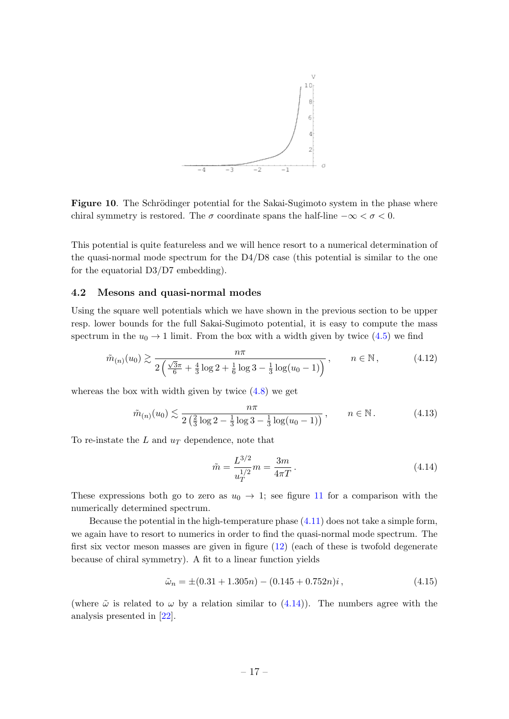

<span id="page-18-1"></span>**Figure 10.** The Schrödinger potential for the Sakai-Sugimoto system in the phase where chiral symmetry is restored. The  $\sigma$  coordinate spans the half-line  $-\infty < \sigma < 0$ .

This potential is quite featureless and we will hence resort to a numerical determination of the quasi-normal mode spectrum for the D4/D8 case (this potential is similar to the one for the equatorial D3/D7 embedding).

#### <span id="page-18-0"></span>4.2 Mesons and quasi-normal modes

Using the square well potentials which we have shown in the previous section to be upper resp. lower bounds for the full Sakai-Sugimoto potential, it is easy to compute the mass spectrum in the  $u_0 \rightarrow 1$  limit. From the box with a width given by twice [\(4.5\)](#page-16-2) we find

<span id="page-18-4"></span>
$$
\tilde{m}_{(n)}(u_0) \gtrsim \frac{n\pi}{2\left(\frac{\sqrt{3}\pi}{6} + \frac{4}{3}\log 2 + \frac{1}{6}\log 3 - \frac{1}{3}\log(u_0 - 1)\right)}, \qquad n \in \mathbb{N},
$$
\n(4.12)

whereas the box with width given by twice  $(4.8)$  we get

<span id="page-18-3"></span>
$$
\tilde{m}_{(n)}(u_0) \lesssim \frac{n\pi}{2\left(\frac{2}{3}\log 2 - \frac{1}{3}\log 3 - \frac{1}{3}\log(u_0 - 1)\right)}, \qquad n \in \mathbb{N}.
$$
 (4.13)

To re-instate the  $L$  and  $u_T$  dependence, note that

<span id="page-18-2"></span>
$$
\tilde{m} = \frac{L^{3/2}}{u_T^{1/2}} m = \frac{3m}{4\pi T} \,. \tag{4.14}
$$

These expressions both go to zero as  $u_0 \rightarrow 1$ ; see figure [11](#page-19-1) for a comparison with the numerically determined spectrum.

Because the potential in the high-temperature phase [\(4.11\)](#page-17-2) does not take a simple form, we again have to resort to numerics in order to find the quasi-normal mode spectrum. The first six vector meson masses are given in figure  $(12)$  (each of these is twofold degenerate because of chiral symmetry). A fit to a linear function yields

$$
\tilde{\omega}_n = \pm (0.31 + 1.305n) - (0.145 + 0.752n)i, \qquad (4.15)
$$

(where  $\tilde{\omega}$  is related to  $\omega$  by a relation similar to [\(4.14\)](#page-18-2)). The numbers agree with the analysis presented in [\[22\]](#page-24-8).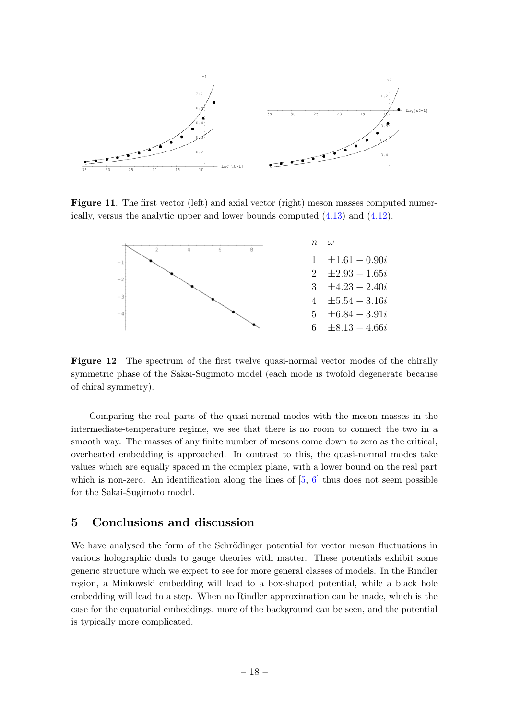

Figure 11. The first vector (left) and axial vector (right) meson masses computed numerically, versus the analytic upper and lower bounds computed [\(4.13\)](#page-18-3) and [\(4.12\)](#page-18-4).

<span id="page-19-1"></span>

<span id="page-19-2"></span>Figure 12. The spectrum of the first twelve quasi-normal vector modes of the chirally symmetric phase of the Sakai-Sugimoto model (each mode is twofold degenerate because of chiral symmetry).

Comparing the real parts of the quasi-normal modes with the meson masses in the intermediate-temperature regime, we see that there is no room to connect the two in a smooth way. The masses of any finite number of mesons come down to zero as the critical, overheated embedding is approached. In contrast to this, the quasi-normal modes take values which are equally spaced in the complex plane, with a lower bound on the real part which is non-zero. An identification along the lines of  $[5, 6]$  $[5, 6]$  thus does not seem possible for the Sakai-Sugimoto model.

## <span id="page-19-0"></span>5 Conclusions and discussion

We have analysed the form of the Schrödinger potential for vector meson fluctuations in various holographic duals to gauge theories with matter. These potentials exhibit some generic structure which we expect to see for more general classes of models. In the Rindler region, a Minkowski embedding will lead to a box-shaped potential, while a black hole embedding will lead to a step. When no Rindler approximation can be made, which is the case for the equatorial embeddings, more of the background can be seen, and the potential is typically more complicated.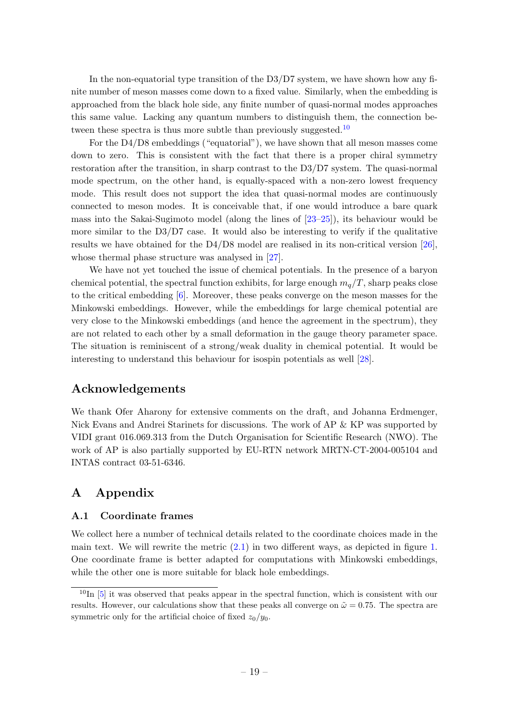In the non-equatorial type transition of the D3/D7 system, we have shown how any finite number of meson masses come down to a fixed value. Similarly, when the embedding is approached from the black hole side, any finite number of quasi-normal modes approaches this same value. Lacking any quantum numbers to distinguish them, the connection be-tween these spectra is thus more subtle than previously suggested.<sup>[10](#page-20-2)</sup>

For the D4/D8 embeddings ("equatorial"), we have shown that all meson masses come down to zero. This is consistent with the fact that there is a proper chiral symmetry restoration after the transition, in sharp contrast to the D3/D7 system. The quasi-normal mode spectrum, on the other hand, is equally-spaced with a non-zero lowest frequency mode. This result does not support the idea that quasi-normal modes are continuously connected to meson modes. It is conceivable that, if one would introduce a bare quark mass into the Sakai-Sugimoto model (along the lines of  $[23-25]$  $[23-25]$ ), its behaviour would be more similar to the  $D3/D7$  case. It would also be interesting to verify if the qualitative results we have obtained for the D4/D8 model are realised in its non-critical version [\[26\]](#page-24-11), whose thermal phase structure was analysed in [\[27\]](#page-24-12).

We have not yet touched the issue of chemical potentials. In the presence of a baryon chemical potential, the spectral function exhibits, for large enough  $m_q/T$ , sharp peaks close to the critical embedding [\[6\]](#page-23-2). Moreover, these peaks converge on the meson masses for the Minkowski embeddings. However, while the embeddings for large chemical potential are very close to the Minkowski embeddings (and hence the agreement in the spectrum), they are not related to each other by a small deformation in the gauge theory parameter space. The situation is reminiscent of a strong/weak duality in chemical potential. It would be interesting to understand this behaviour for isospin potentials as well [\[28\]](#page-24-13).

## Acknowledgements

We thank Ofer Aharony for extensive comments on the draft, and Johanna Erdmenger, Nick Evans and Andrei Starinets for discussions. The work of AP & KP was supported by VIDI grant 016.069.313 from the Dutch Organisation for Scientific Research (NWO). The work of AP is also partially supported by EU-RTN network MRTN-CT-2004-005104 and INTAS contract 03-51-6346.

## <span id="page-20-0"></span>A Appendix

#### <span id="page-20-1"></span>A.1 Coordinate frames

We collect here a number of technical details related to the coordinate choices made in the main text. We will rewrite the metric  $(2.1)$  in two different ways, as depicted in figure [1.](#page-5-0) One coordinate frame is better adapted for computations with Minkowski embeddings, while the other one is more suitable for black hole embeddings.

<span id="page-20-2"></span> $10\text{In}$  [\[5\]](#page-23-1) it was observed that peaks appear in the spectral function, which is consistent with our results. However, our calculations show that these peaks all converge on  $\tilde{\omega} = 0.75$ . The spectra are symmetric only for the artificial choice of fixed  $z_0/y_0$ .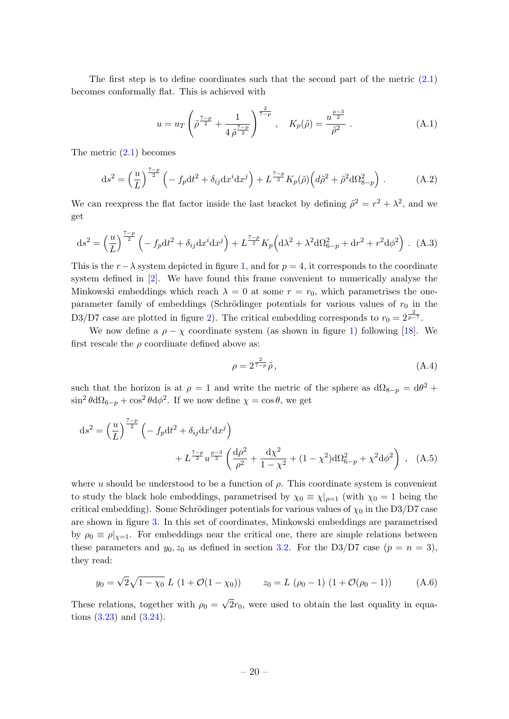The first step is to define coordinates such that the second part of the metric [\(2.1\)](#page-4-1) becomes conformally flat. This is achieved with

$$
u = u_T \left( \tilde{\rho}^{\frac{7-p}{2}} + \frac{1}{4\tilde{\rho}^{\frac{7-p}{2}}} \right)^{\frac{2}{7-p}}, \quad K_p(\tilde{\rho}) = \frac{u^{\frac{p-3}{2}}}{\tilde{\rho}^2} \ . \tag{A.1}
$$

The metric  $(2.1)$  becomes

$$
ds^2 = \left(\frac{u}{L}\right)^{\frac{7-p}{2}} \left(-f_p dt^2 + \delta_{ij} dx^i dx^j\right) + L^{\frac{7-p}{2}} K_p(\tilde{\rho}) \left(d\tilde{\rho}^2 + \tilde{\rho}^2 d\Omega_{8-p}^2\right) \,. \tag{A.2}
$$

We can reexpress the flat factor inside the last bracket by defining  $\tilde{\rho}^2 = r^2 + \lambda^2$ , and we get

$$
ds^{2} = \left(\frac{u}{L}\right)^{\frac{7-p}{2}} \left(-f_{p}dt^{2} + \delta_{ij}dx^{i}dx^{j}\right) + L^{\frac{7-p}{2}}K_{p}\left(d\lambda^{2} + \lambda^{2}d\Omega_{6-p}^{2} + dr^{2} + r^{2}d\phi^{2}\right).
$$
 (A.3)

This is the  $r-\lambda$  system depicted in figure [1,](#page-5-0) and for  $p=4$ , it corresponds to the coordinate system defined in [\[2\]](#page-23-4). We have found this frame convenient to numerically analyse the Minkowski embeddings which reach  $\lambda = 0$  at some  $r = r_0$ , which parametrises the oneparameter family of embeddings (Schrödinger potentials for various values of  $r_0$  in the D3/D7 case are plotted in figure [2\)](#page-6-0). The critical embedding corresponds to  $r_0 = 2^{\frac{2}{p-7}}$ .

We now define a  $\rho - \chi$  coordinate system (as shown in figure [1\)](#page-5-0) following [\[18\]](#page-24-4). We first rescale the  $\rho$  coordinate defined above as:

$$
\rho = 2^{\frac{2}{7-p}} \tilde{\rho},\tag{A.4}
$$

such that the horizon is at  $\rho = 1$  and write the metric of the sphere as  $d\Omega_{8-p} = d\theta^2 + d\theta^2$  $\sin^2 \theta \, d\Omega_{6-p} + \cos^2 \theta \, d\phi^2$ . If we now define  $\chi = \cos \theta$ , we get

$$
ds^{2} = \left(\frac{u}{L}\right)^{\frac{7-p}{2}} \left(-f_{p}dt^{2} + \delta_{ij}dx^{i}dx^{j}\right) + L^{\frac{7-p}{2}}u^{\frac{p-3}{2}}\left(\frac{d\rho^{2}}{\rho^{2}} + \frac{d\chi^{2}}{1-\chi^{2}} + (1-\chi^{2})d\Omega_{6-p}^{2} + \chi^{2}d\phi^{2}\right) , \quad (A.5)
$$

where u should be understood to be a function of  $\rho$ . This coordinate system is convenient to study the black hole embeddings, parametrised by  $\chi_0 \equiv \chi|_{\rho=1}$  (with  $\chi_0 = 1$  being the critical embedding). Some Schrödinger potentials for various values of  $\chi_0$  in the D3/D7 case are shown in figure [3.](#page-7-2) In this set of coordinates, Minkowski embeddings are parametrised by  $\rho_0 \equiv \rho|_{\chi=1}$ . For embeddings near the critical one, there are simple relations between these parameters and  $y_0, z_0$  as defined in section [3.2.](#page-8-0) For the D3/D7 case  $(p = n = 3)$ , they read:

$$
y_0 = \sqrt{2}\sqrt{1 - \chi_0} L (1 + \mathcal{O}(1 - \chi_0)) \qquad z_0 = L (\rho_0 - 1) (1 + \mathcal{O}(\rho_0 - 1)) \qquad (A.6)
$$

These relations, together with  $\rho_0 =$  $2r_0$ , were used to obtain the last equality in equations  $(3.23)$  and  $(3.24)$ .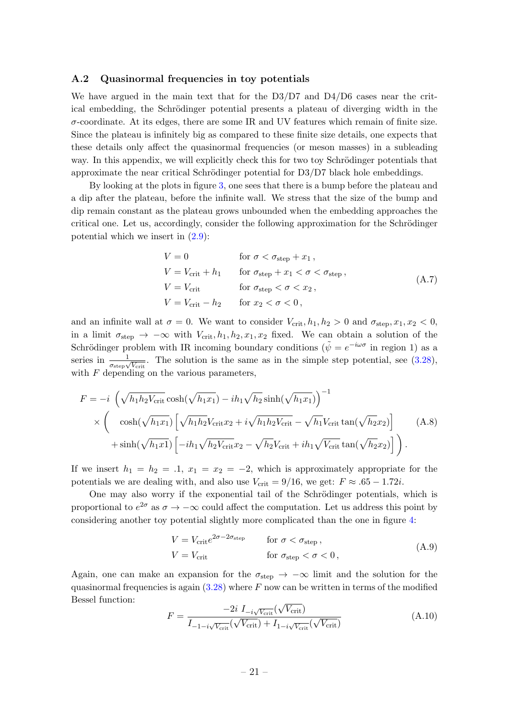#### <span id="page-22-0"></span>A.2 Quasinormal frequencies in toy potentials

We have argued in the main text that for the D3/D7 and D4/D6 cases near the critical embedding, the Schrödinger potential presents a plateau of diverging width in the  $\sigma$ -coordinate. At its edges, there are some IR and UV features which remain of finite size. Since the plateau is infinitely big as compared to these finite size details, one expects that these details only affect the quasinormal frequencies (or meson masses) in a subleading way. In this appendix, we will explicitly check this for two toy Schrödinger potentials that approximate the near critical Schrödinger potential for  $D3/D7$  black hole embeddings.

By looking at the plots in figure [3,](#page-7-2) one sees that there is a bump before the plateau and a dip after the plateau, before the infinite wall. We stress that the size of the bump and dip remain constant as the plateau grows unbounded when the embedding approaches the critical one. Let us, accordingly, consider the following approximation for the Schrödinger potential which we insert in  $(2.9)$ :

$$
V = 0 \tfor \t\sigma < \sigma_{step} + x_1,
$$
  
\n
$$
V = V_{\text{crit}} + h_1 \tfor \t\sigma_{step} + x_1 < \sigma < \sigma_{step},
$$
  
\n
$$
V = V_{\text{crit}} \tfor \t\sigma_{step} < \sigma < x_2,
$$
  
\n
$$
V = V_{\text{crit}} - h_2 \tfor \t\tau_2 < \sigma < 0,
$$
\n
$$
(A.7)
$$

and an infinite wall at  $\sigma = 0$ . We want to consider  $V_{\text{crit}}$ ,  $h_1, h_2 > 0$  and  $\sigma_{\text{step}}$ ,  $x_1, x_2 < 0$ , in a limit  $\sigma_{\text{step}} \rightarrow -\infty$  with  $V_{\text{crit}}$ ,  $h_1$ ,  $h_2$ ,  $x_1$ ,  $x_2$  fixed. We can obtain a solution of the Schrödinger problem with IR incoming boundary conditions  $(\tilde{\psi} = e^{-i\omega \sigma}$  in region 1) as a series in  $\frac{1}{\sigma_{\text{step}}\sqrt{V_{\text{crit}}}}$ . The solution is the same as in the simple step potential, see [\(3.28\)](#page-14-1), with  $F$  depending on the various parameters,

$$
F = -i \left( \sqrt{h_1 h_2 V_{\text{crit}}} \cosh(\sqrt{h_1 x_1}) - i h_1 \sqrt{h_2} \sinh(\sqrt{h_1 x_1}) \right)^{-1}
$$
  
 
$$
\times \left( \cosh(\sqrt{h_1 x_1}) \left[ \sqrt{h_1 h_2 V_{\text{crit}}} x_2 + i \sqrt{h_1 h_2 V_{\text{crit}}} - \sqrt{h_1 V_{\text{crit}}} \tan(\sqrt{h_2} x_2) \right] + \sinh(\sqrt{h_1 x_1}) \left[ -i h_1 \sqrt{h_2 V_{\text{crit}}} x_2 - \sqrt{h_2 V_{\text{crit}}} + i h_1 \sqrt{V_{\text{crit}}} \tan(\sqrt{h_2} x_2) \right] \right). \tag{A.8}
$$

If we insert  $h_1 = h_2 = .1$ ,  $x_1 = x_2 = -2$ , which is approximately appropriate for the potentials we are dealing with, and also use  $V_{\text{crit}} = 9/16$ , we get:  $F \approx .65 - 1.72i$ .

One may also worry if the exponential tail of the Schrödinger potentials, which is proportional to  $e^{2\sigma}$  as  $\sigma \to -\infty$  could affect the computation. Let us address this point by considering another toy potential slightly more complicated than the one in figure [4:](#page-10-2)

$$
V = V_{\text{crit}} e^{2\sigma - 2\sigma_{\text{step}}} \qquad \text{for } \sigma < \sigma_{\text{step}},
$$
  
\n
$$
V = V_{\text{crit}} \qquad \text{for } \sigma_{\text{step}} < \sigma < 0,
$$
\n(A.9)

Again, one can make an expansion for the  $\sigma_{step} \rightarrow -\infty$  limit and the solution for the quasinormal frequencies is again  $(3.28)$  where F now can be written in terms of the modified Bessel function: √

$$
F = \frac{-2i \ I_{-i\sqrt{V_{\text{crit}}}}(\sqrt{V_{\text{crit}}})}{I_{-1-i\sqrt{V_{\text{crit}}}}(\sqrt{V_{\text{crit}}}) + I_{1-i\sqrt{V_{\text{crit}}}}(\sqrt{V_{\text{crit}}})}
$$
(A.10)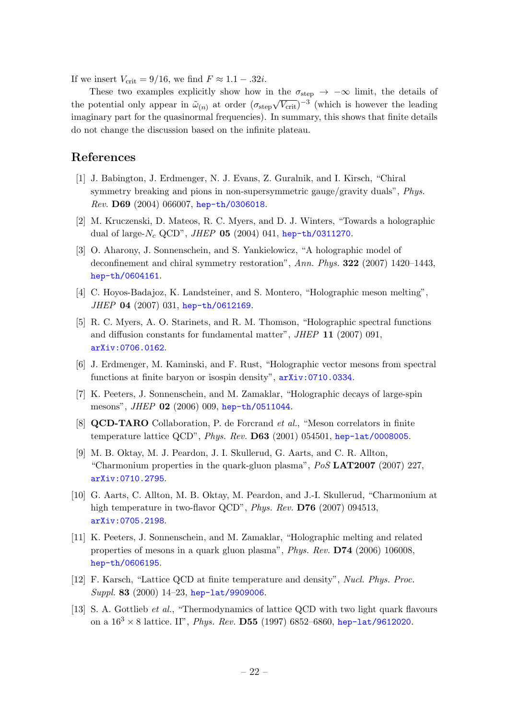If we insert  $V_{\text{crit}} = 9/16$ , we find  $F \approx 1.1 - .32i$ .

These two examples explicitly show how in the  $\sigma_{\text{step}} \rightarrow -\infty$  limit, the details of the potential only appear in  $\tilde{\omega}_{(n)}$  at order  $(\sigma_{\text{step}}\sqrt{V_{\text{crit}}})^{-3}$  (which is however the leading imaginary part for the quasinormal frequencies). In summary, this shows that finite details do not change the discussion based on the infinite plateau.

## References

- <span id="page-23-3"></span>[1] J. Babington, J. Erdmenger, N. J. Evans, Z. Guralnik, and I. Kirsch, "Chiral symmetry breaking and pions in non-supersymmetric gauge/gravity duals", *Phys.* Rev. D69 (2004) 066007, [hep-th/0306018](http://arxiv.org/abs/hep-th/0306018).
- <span id="page-23-4"></span>[2] M. Kruczenski, D. Mateos, R. C. Myers, and D. J. Winters, "Towards a holographic dual of large- $N_c$  QCD", JHEP 05 (2004) 041, [hep-th/0311270](http://arxiv.org/abs/hep-th/0311270).
- <span id="page-23-5"></span>[3] O. Aharony, J. Sonnenschein, and S. Yankielowicz, "A holographic model of deconfinement and chiral symmetry restoration", Ann. Phys. 322 (2007) 1420–1443, [hep-th/0604161](http://arxiv.org/abs/hep-th/0604161).
- <span id="page-23-0"></span>[4] C. Hoyos-Badajoz, K. Landsteiner, and S. Montero, "Holographic meson melting", JHEP 04 (2007) 031, [hep-th/0612169](http://arxiv.org/abs/hep-th/0612169).
- <span id="page-23-1"></span>[5] R. C. Myers, A. O. Starinets, and R. M. Thomson, "Holographic spectral functions and diffusion constants for fundamental matter", JHEP 11 (2007) 091, [arXiv:0706.0162](http://arxiv.org/abs/0706.0162).
- <span id="page-23-2"></span>[6] J. Erdmenger, M. Kaminski, and F. Rust, "Holographic vector mesons from spectral functions at finite baryon or isospin density", [arXiv:0710.0334](http://arxiv.org/abs/0710.0334).
- <span id="page-23-11"></span>[7] K. Peeters, J. Sonnenschein, and M. Zamaklar, "Holographic decays of large-spin mesons", *JHEP* 02 (2006) 009, [hep-th/0511044](http://arxiv.org/abs/hep-th/0511044).
- <span id="page-23-6"></span>[8] QCD-TARO Collaboration, P. de Forcrand et al., "Meson correlators in finite temperature lattice QCD", Phys. Rev. D63 (2001) 054501, [hep-lat/0008005](http://arxiv.org/abs/hep-lat/0008005).
- [9] M. B. Oktay, M. J. Peardon, J. I. Skullerud, G. Aarts, and C. R. Allton, "Charmonium properties in the quark-gluon plasma",  $PoS$  LAT2007 (2007) 227, [arXiv:0710.2795](http://arxiv.org/abs/0710.2795).
- <span id="page-23-7"></span>[10] G. Aarts, C. Allton, M. B. Oktay, M. Peardon, and J.-I. Skullerud, "Charmonium at high temperature in two-flavor QCD", Phys. Rev. D76 (2007) 094513, [arXiv:0705.2198](http://arxiv.org/abs/0705.2198).
- <span id="page-23-8"></span>[11] K. Peeters, J. Sonnenschein, and M. Zamaklar, "Holographic melting and related properties of mesons in a quark gluon plasma", Phys. Rev. D74 (2006) 106008, [hep-th/0606195](http://arxiv.org/abs/hep-th/0606195).
- <span id="page-23-9"></span>[12] F. Karsch, "Lattice QCD at finite temperature and density", Nucl. Phys. Proc. Suppl. 83 (2000) 14–23, [hep-lat/9909006](http://arxiv.org/abs/hep-lat/9909006).
- <span id="page-23-10"></span>[13] S. A. Gottlieb et al., "Thermodynamics of lattice QCD with two light quark flavours on a  $16^3 \times 8$  lattice. II", *Phys. Rev.* **D55** (1997) 6852–6860, [hep-lat/9612020](http://arxiv.org/abs/hep-lat/9612020).